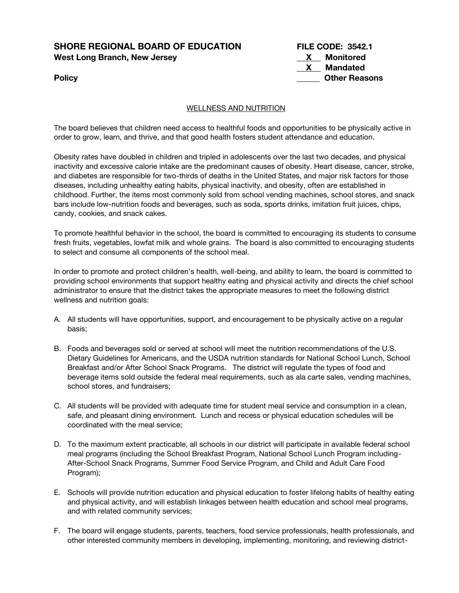# **SHORE REGIONAL BOARD OF EDUCATION West Long Branch, New Jersey**

| <b>SHORE REGIONAL BOARD OF EDUCATION</b> | <b>FILE CODE: 3542.1</b>  |  |
|------------------------------------------|---------------------------|--|
| West Long Branch, New Jersey             | Monitored<br>$\mathbf{x}$ |  |
|                                          | Mandated<br>$\mathbf{x}$  |  |
| Policy                                   | <b>Other Reasons</b>      |  |

# WELLNESS AND NUTRITION

The board believes that children need access to healthful foods and opportunities to be physically active in order to grow, learn, and thrive, and that good health fosters student attendance and education.

Obesity rates have doubled in children and tripled in adolescents over the last two decades, and physical inactivity and excessive calorie intake are the predominant causes of obesity. Heart disease, cancer, stroke, and diabetes are responsible for two-thirds of deaths in the United States, and major risk factors for those diseases, including unhealthy eating habits, physical inactivity, and obesity, often are established in childhood. Further, the items most commonly sold from school vending machines, school stores, and snack bars include low-nutrition foods and beverages, such as soda, sports drinks, imitation fruit juices, chips, candy, cookies, and snack cakes.

To promote healthful behavior in the school, the board is committed to encouraging its students to consume fresh fruits, vegetables, lowfat milk and whole grains. The board is also committed to encouraging students to select and consume all components of the school meal.

In order to promote and protect children's health, well-being, and ability to learn, the board is committed to providing school environments that support healthy eating and physical activity and directs the chief school administrator to ensure that the district takes the appropriate measures to meet the following district wellness and nutrition goals:

- A. All students will have opportunities, support, and encouragement to be physically active on a regular basis;
- B. Foods and beverages sold or served at school will meet the nutrition recommendations of the U.S. Dietary Guidelines for Americans, and the USDA nutrition standards for National School Lunch, School Breakfast and/or After School Snack Programs. The district will regulate the types of food and beverage items sold outside the federal meal requirements, such as ala carte sales, vending machines, school stores, and fundraisers;
- C. All students will be provided with adequate time for student meal service and consumption in a clean, safe, and pleasant dining environment. Lunch and recess or physical education schedules will be coordinated with the meal service;
- D. To the maximum extent practicable, all schools in our district will participate in available federal school meal programs (including the School Breakfast Program, National School Lunch Program including-After-School Snack Programs, Summer Food Service Program, and Child and Adult Care Food Program);
- E. Schools will provide nutrition education and physical education to foster lifelong habits of healthy eating and physical activity, and will establish linkages between health education and school meal programs, and with related community services;
- F. The board will engage students, parents, teachers, food service professionals, health professionals, and other interested community members in developing, implementing, monitoring, and reviewing district-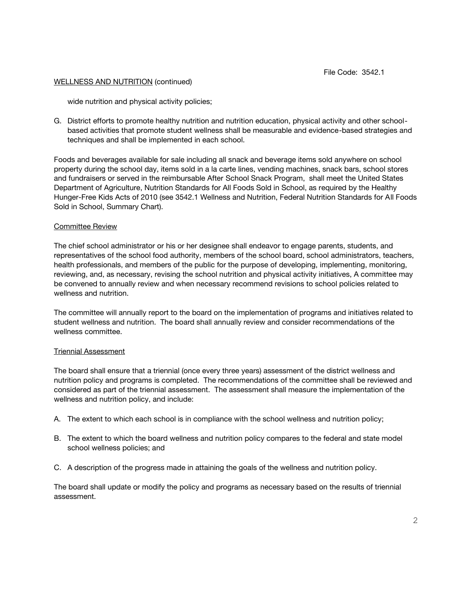wide nutrition and physical activity policies;

G. District efforts to promote healthy nutrition and nutrition education, physical activity and other schoolbased activities that promote student wellness shall be measurable and evidence-based strategies and techniques and shall be implemented in each school.

Foods and beverages available for sale including all snack and beverage items sold anywhere on school property during the school day, items sold in a la carte lines, vending machines, snack bars, school stores and fundraisers or served in the reimbursable After School Snack Program, shall meet the United States Department of Agriculture, Nutrition Standards for All Foods Sold in School, as required by the Healthy Hunger-Free Kids Acts of 2010 (see 3542.1 Wellness and Nutrition, Federal Nutrition Standards for All Foods Sold in School, Summary Chart).

## Committee Review

The chief school administrator or his or her designee shall endeavor to engage parents, students, and representatives of the school food authority, members of the school board, school administrators, teachers, health professionals, and members of the public for the purpose of developing, implementing, monitoring, reviewing, and, as necessary, revising the school nutrition and physical activity initiatives, A committee may be convened to annually review and when necessary recommend revisions to school policies related to wellness and nutrition.

The committee will annually report to the board on the implementation of programs and initiatives related to student wellness and nutrition. The board shall annually review and consider recommendations of the wellness committee.

## Triennial Assessment

The board shall ensure that a triennial (once every three years) assessment of the district wellness and nutrition policy and programs is completed. The recommendations of the committee shall be reviewed and considered as part of the triennial assessment. The assessment shall measure the implementation of the wellness and nutrition policy, and include:

- A. The extent to which each school is in compliance with the school wellness and nutrition policy;
- B. The extent to which the board wellness and nutrition policy compares to the federal and state model school wellness policies; and
- C. A description of the progress made in attaining the goals of the wellness and nutrition policy.

The board shall update or modify the policy and programs as necessary based on the results of triennial assessment.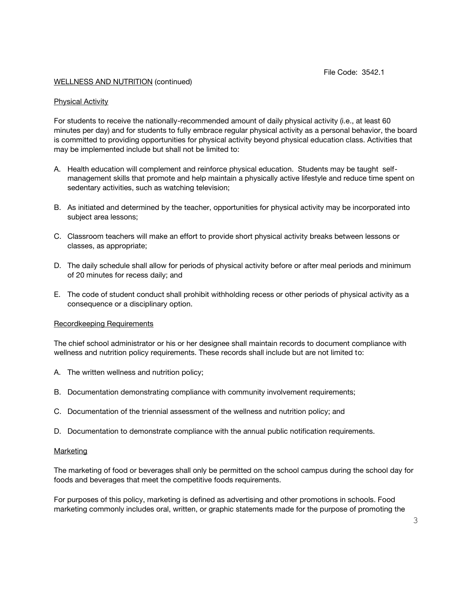### Physical Activity

For students to receive the nationally-recommended amount of daily physical activity (i.e., at least 60 minutes per day) and for students to fully embrace regular physical activity as a personal behavior, the board is committed to providing opportunities for physical activity beyond physical education class. Activities that may be implemented include but shall not be limited to:

- A. Health education will complement and reinforce physical education. Students may be taught selfmanagement skills that promote and help maintain a physically active lifestyle and reduce time spent on sedentary activities, such as watching television;
- B. As initiated and determined by the teacher, opportunities for physical activity may be incorporated into subject area lessons;
- C. Classroom teachers will make an effort to provide short physical activity breaks between lessons or classes, as appropriate;
- D. The daily schedule shall allow for periods of physical activity before or after meal periods and minimum of 20 minutes for recess daily; and
- E. The code of student conduct shall prohibit withholding recess or other periods of physical activity as a consequence or a disciplinary option.

#### Recordkeeping Requirements

The chief school administrator or his or her designee shall maintain records to document compliance with wellness and nutrition policy requirements. These records shall include but are not limited to:

- A. The written wellness and nutrition policy;
- B. Documentation demonstrating compliance with community involvement requirements;
- C. Documentation of the triennial assessment of the wellness and nutrition policy; and
- D. Documentation to demonstrate compliance with the annual public notification requirements.

#### Marketing

The marketing of food or beverages shall only be permitted on the school campus during the school day for foods and beverages that meet the competitive foods requirements.

For purposes of this policy, marketing is defined as advertising and other promotions in schools. Food marketing commonly includes oral, written, or graphic statements made for the purpose of promoting the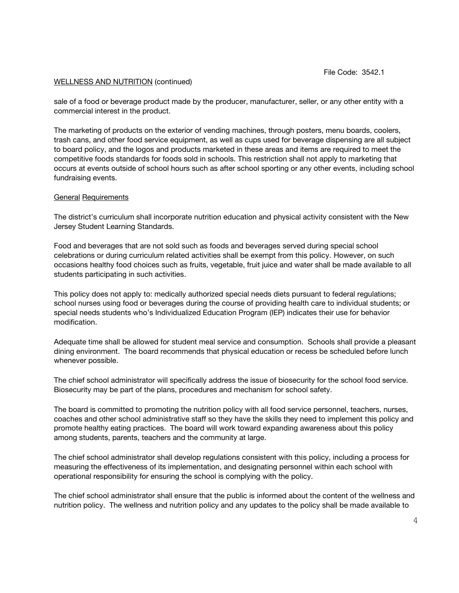sale of a food or beverage product made by the producer, manufacturer, seller, or any other entity with a commercial interest in the product.

The marketing of products on the exterior of vending machines, through posters, menu boards, coolers, trash cans, and other food service equipment, as well as cups used for beverage dispensing are all subject to board policy, and the logos and products marketed in these areas and items are required to meet the competitive foods standards for foods sold in schools. This restriction shall not apply to marketing that occurs at events outside of school hours such as after school sporting or any other events, including school fundraising events.

# General Requirements

The district's curriculum shall incorporate nutrition education and physical activity consistent with the New Jersey Student Learning Standards.

Food and beverages that are not sold such as foods and beverages served during special school celebrations or during curriculum related activities shall be exempt from this policy. However, on such occasions healthy food choices such as fruits, vegetable, fruit juice and water shall be made available to all students participating in such activities.

This policy does not apply to: medically authorized special needs diets pursuant to federal regulations; school nurses using food or beverages during the course of providing health care to individual students; or special needs students who's Individualized Education Program (IEP) indicates their use for behavior modification.

Adequate time shall be allowed for student meal service and consumption. Schools shall provide a pleasant dining environment. The board recommends that physical education or recess be scheduled before lunch whenever possible.

The chief school administrator will specifically address the issue of biosecurity for the school food service. Biosecurity may be part of the plans, procedures and mechanism for school safety.

The board is committed to promoting the nutrition policy with all food service personnel, teachers, nurses, coaches and other school administrative staff so they have the skills they need to implement this policy and promote healthy eating practices. The board will work toward expanding awareness about this policy among students, parents, teachers and the community at large.

The chief school administrator shall develop regulations consistent with this policy, including a process for measuring the effectiveness of its implementation, and designating personnel within each school with operational responsibility for ensuring the school is complying with the policy.

The chief school administrator shall ensure that the public is informed about the content of the wellness and nutrition policy. The wellness and nutrition policy and any updates to the policy shall be made available to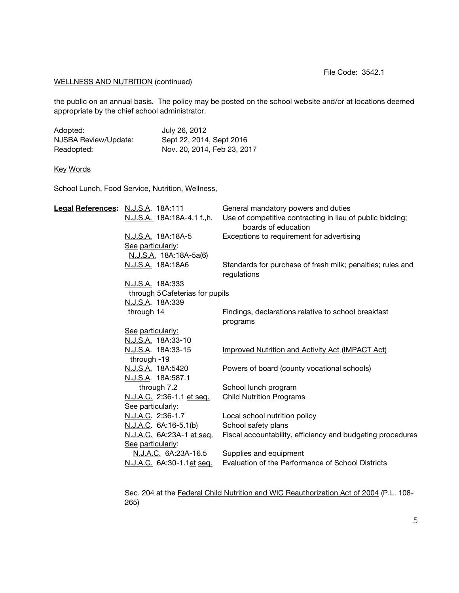File Code: 3542.1

# WELLNESS AND NUTRITION (continued)

the public on an annual basis. The policy may be posted on the school website and/or at locations deemed appropriate by the chief school administrator.

| Adopted:             | July 26, 2012               |
|----------------------|-----------------------------|
| NJSBA Review/Update: | Sept 22, 2014, Sept 2016    |
| Readopted:           | Nov. 20, 2014, Feb 23, 2017 |

# Key Words

School Lunch, Food Service, Nutrition, Wellness,

| Legal References: N.J.S.A. 18A:111 |                                   | General mandatory powers and duties                                              |
|------------------------------------|-----------------------------------|----------------------------------------------------------------------------------|
|                                    | N.J.S.A. 18A:18A-4.1 f.,h.        | Use of competitive contracting in lieu of public bidding;<br>boards of education |
|                                    | N.J.S.A. 18A:18A-5                | Exceptions to requirement for advertising                                        |
|                                    | See particularly:                 |                                                                                  |
|                                    | N.J.S.A. 18A:18A-5a(6)            |                                                                                  |
|                                    | N.J.S.A. 18A:18A6                 | Standards for purchase of fresh milk; penalties; rules and<br>regulations        |
|                                    | N.J.S.A. 18A:333                  |                                                                                  |
| through 5 Cafeterias for pupils    |                                   |                                                                                  |
|                                    | N.J.S.A. 18A:339                  |                                                                                  |
|                                    | through 14                        | Findings, declarations relative to school breakfast<br>programs                  |
|                                    | See particularly:                 |                                                                                  |
|                                    | N.J.S.A. 18A:33-10                |                                                                                  |
|                                    | N.J.S.A. 18A:33-15<br>through -19 | <b>Improved Nutrition and Activity Act (IMPACT Act)</b>                          |
|                                    | N.J.S.A. 18A:5420                 | Powers of board (county vocational schools)                                      |
|                                    | N.J.S.A. 18A:587.1                |                                                                                  |
|                                    | through 7.2                       | School lunch program                                                             |
|                                    | N.J.A.C. 2:36-1.1 et seq.         | <b>Child Nutrition Programs</b>                                                  |
|                                    | See particularly:                 |                                                                                  |
|                                    | N.J.A.C. 2:36-1.7                 | Local school nutrition policy                                                    |
|                                    | N.J.A.C. 6A:16-5.1(b)             | School safety plans                                                              |
|                                    | N.J.A.C. 6A:23A-1 et seq.         | Fiscal accountability, efficiency and budgeting procedures                       |
|                                    | See particularly:                 |                                                                                  |
|                                    | <u>N.J.A.C.</u> 6A:23A-16.5       | Supplies and equipment                                                           |
|                                    | N.J.A.C. 6A:30-1.1et seq.         | Evaluation of the Performance of School Districts                                |
|                                    |                                   |                                                                                  |

Sec. 204 at the Federal Child Nutrition and WIC Reauthorization Act of 2004 (P.L. 108- 265)